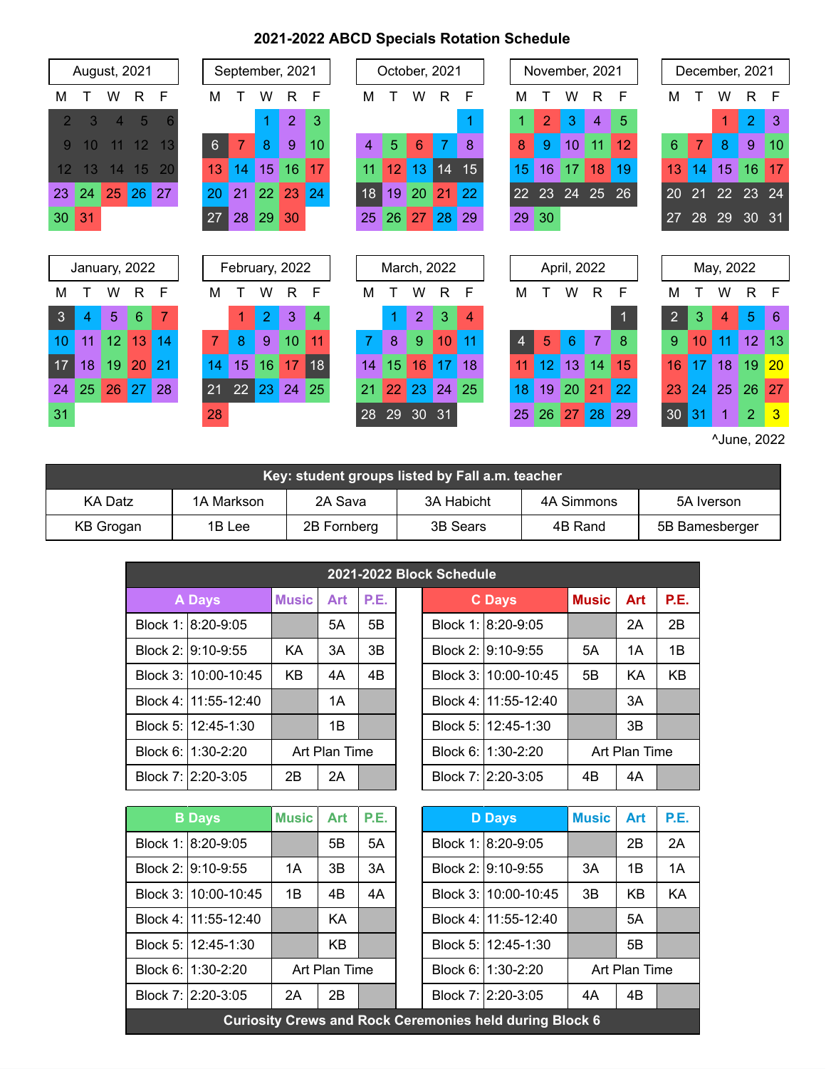## **2021-2022 ABCD Specials Rotation Schedule**

|    | <b>August, 2021</b> |                |              |    |                | September, 2021 |                |    |    |    |    | October, 2021  |              |    |    |    |             | November, 2021 |    |                |    | December, 2021 |                |                |
|----|---------------------|----------------|--------------|----|----------------|-----------------|----------------|----|----|----|----|----------------|--------------|----|----|----|-------------|----------------|----|----------------|----|----------------|----------------|----------------|
| м  |                     | w              | $\mathsf{R}$ | F  | м              |                 | w              | R  | F  | М  |    | W              | $\mathsf{R}$ | F  | м  |    | w           | R              | F  | М              |    | W              | $\mathsf{R}$   | F              |
| 2  | 3                   | $\overline{4}$ | 5            | 6  |                |                 | 1              | 2  | 3  |    |    |                |              |    |    | 2  | 3           | 4              | 5  |                |    | 1              | $\overline{2}$ | 3              |
| 9  | 10                  |                | 12           | 13 | 6              | 7               | 8              | 9  | 10 | 4  | 5  | 6              | 7            | 8  | 8  | 9  | 10          | 11             | 12 | 6              | 7  | 8              | 9              | 10             |
| 12 | 13                  | 14             | 15           | 20 | 13             | 14              | 15             | 16 | 17 | 11 | 12 | 13             | 14           | 15 | 15 | 16 | 17          | 18             | 19 | 13             | 14 | 15             | 16             | 17             |
| 23 | 24                  | 25             | 26           | 27 | 20             | 21              | 22             | 23 | 24 | 18 | 19 | 20             | 21           | 22 | 22 | 23 | 24          | 25             | 26 | 20             | 21 | 22             | 23             | 24             |
| 30 | 31                  |                |              |    | 27             | 28              | 29             | 30 |    | 25 | 26 | 27             | 28           | 29 | 29 | 30 |             |                |    | 27             | 28 | 29             | 30             | 31             |
|    |                     |                |              |    |                |                 |                |    |    |    |    |                |              |    |    |    |             |                |    |                |    |                |                |                |
|    |                     |                |              |    |                |                 |                |    |    |    |    |                |              |    |    |    |             |                |    |                |    |                |                |                |
|    | January, 2022       |                |              |    |                | February, 2022  |                |    |    |    |    | March, 2022    |              |    |    |    | April, 2022 |                |    |                |    | May, 2022      |                |                |
| м  |                     | w              | R.           | F  | м              |                 | w              | R  | F  | M  |    | W              | R            | F  | M  |    | W           | R              | F  | М              |    | W              | R              | F              |
| 3  | 4                   | 5              | 6            | 7  |                | 1               | $\overline{2}$ | 3  | 4  |    | 1  | $\overline{2}$ | 3            | 4  |    |    |             |                |    | $\overline{2}$ | 3  | 4              | 5              | 6              |
| 10 | 11                  | 12             | 13           | 14 | $\overline{7}$ | 8               | 9              | 10 | 11 | 7  | 8  | 9              | 10           |    | 4  | 5  | 6           | 7              | 8  | 9              | 10 | 11             | 12             | 13             |
| 17 | 18                  | 19             | 20           | 21 | 14             | 15              | 16             | 17 | 18 | 14 | 15 | 16             | 17           | 18 | 11 | 12 | 13          | 14             | 15 | 16             | 17 | 18             | 19             | 20             |
| 24 | 25                  | 26             | 27           | 28 | 21             | 22              | 23             | 24 | 25 | 21 | 22 | 23             | 24           | 25 | 18 | 19 | 20          | 21             | 22 | 23             | 24 | 25             | 26             | 27             |
| 31 |                     |                |              |    | 28             |                 |                |    |    | 28 | 29 | 30             | 31           |    | 25 | 26 | 27          | 28             | 29 | 30             | 31 | 1              | $\overline{2}$ | $\overline{3}$ |

| Key: student groups listed by Fall a.m. teacher                             |                                                                 |  |  |  |  |  |  |  |  |  |  |
|-----------------------------------------------------------------------------|-----------------------------------------------------------------|--|--|--|--|--|--|--|--|--|--|
| KA Datz                                                                     | 3A Habicht<br>4A Simmons<br>2A Sava<br>1A Markson<br>5A Iverson |  |  |  |  |  |  |  |  |  |  |
| 2B Fornberg<br>3B Sears<br>KB Grogan<br>1B Lee<br>5B Bamesberger<br>4B Rand |                                                                 |  |  |  |  |  |  |  |  |  |  |

| 2021-2022 Block Schedule |                      |            |               |    |  |               |                      |            |               |           |  |
|--------------------------|----------------------|------------|---------------|----|--|---------------|----------------------|------------|---------------|-----------|--|
| <b>A</b> Days            | <b>Music</b>         | <b>Art</b> | P.E.          |    |  | <b>C</b> Days | <b>Music</b>         | <b>Art</b> | P.E.          |           |  |
|                          | Block 1: 8:20-9:05   |            | 5Α            | 5B |  |               | Block 1: 8:20-9:05   |            | 2A            | 2B        |  |
|                          | Block 2: 9:10-9:55   | KA         | 3A            | 3B |  |               | Block 2: 9:10-9:55   | 5A         | 1A            | 1B        |  |
|                          | Block 3:110:00-10:45 | <b>KB</b>  | 4A            | 4B |  |               | Block 3:110:00-10:45 | 5B         | KA            | <b>KB</b> |  |
|                          | Block 4:111:55-12:40 |            | 1A            |    |  |               | Block 4:111:55-12:40 |            | 3A            |           |  |
|                          | Block 5: 12:45-1:30  |            | 1B            |    |  |               | Block 5: 12:45-1:30  |            | 3B            |           |  |
| Block 6: 11:30-2:20      |                      |            | Art Plan Time |    |  |               | Block 6: 11:30-2:20  |            | Art Plan Time |           |  |
|                          | Block 7: 2:20-3:05   |            | 2A            |    |  |               | Block 7: 2:20-3:05   | 4B         | 4A            |           |  |
|                          |                      |            |               |    |  |               |                      |            |               |           |  |

| <b>B</b> Days        | <b>Music</b> | <b>Art</b>    | P.E. |  | <b>D</b> Days                                                  | <b>Music</b> | Art           | P.E. |
|----------------------|--------------|---------------|------|--|----------------------------------------------------------------|--------------|---------------|------|
| Block 1: 8:20-9:05   |              | 5B            | 5A   |  | Block 1: 8:20-9:05                                             |              | 2Β            | 2A   |
| Block 2: 9:10-9:55   | 1A           | 3B            | 3A   |  | Block 2: 9:10-9:55                                             | 3A           | 1B            | 1A   |
| Block 3:110:00-10:45 | 1B           | 4B            | 4A   |  | Block 3:110:00-10:45                                           | 3B           | KB            | KA   |
| Block 4: 11:55-12:40 |              | KA            |      |  | Block 4: 11:55-12:40                                           |              | 5A            |      |
| Block 5: 12:45-1:30  |              | KB            |      |  | Block 5: 12:45-1:30                                            |              | 5B            |      |
| Block 6: 1:30-2:20   |              | Art Plan Time |      |  | Block 6: 1:30-2:20                                             |              | Art Plan Time |      |
| Block 7: 2:20-3:05   | 2A           | 2Β            |      |  | Block 7: 2:20-3:05                                             | 4A           | 4B            |      |
|                      |              |               |      |  | <b>Curiosity Crews and Rock Ceremonies held during Block 6</b> |              |               |      |